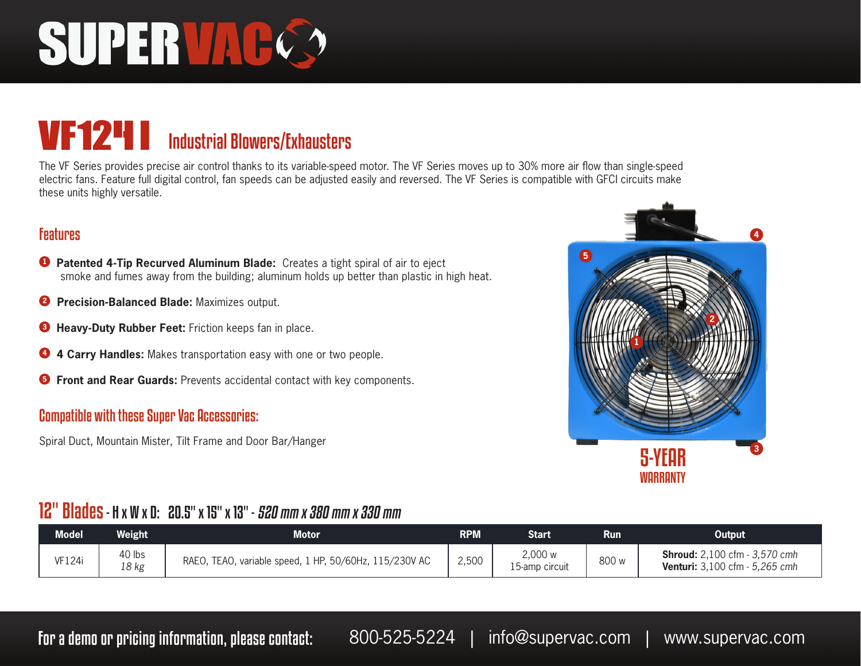# SUPERVACC

### VF124 i Industrial Blowers/Exhausters

The VF Series provides precise air control thanks to its variable-speed motor. The VF Series moves up to 30% more air flow than single-speed electric fans. Feature full digital control, fan speeds can be adjusted easily and reversed. The VF Series is compatible with GFCI circuits make these units highly versatile.

#### Features

- **<sup>1</sup> Patented 4-Tip Recurved Aluminum Blade:** Creates a tight spiral of air to eject smoke and fumes away from the building; aluminum holds up better than plastic in high heat.
- **2 Precision-Balanced Blade:** Maximizes output.
- **<sup>3</sup> Heavy-Duty Rubber Feet:** Friction keeps fan in place.
- **<sup>4</sup> 4 Carry Handles:** Makes transportation easy with one or two people.
- **<sup>5</sup> Front and Rear Guards:** Prevents accidental contact with key components.

#### Compatible with these Super Vac Accessories:

Spiral Duct, Mountain Mister, Tilt Frame and Door Bar/Hanger



#### 12" Blades - H x W x D: 20.5" x 15" x 13" - 520 mm x 380 mm x 330 mm

| <b>Model</b> | Weight          | <b>Motor</b>                                              | <b>RPM</b> | Start                     | Run   | Output                                                                        |
|--------------|-----------------|-----------------------------------------------------------|------------|---------------------------|-------|-------------------------------------------------------------------------------|
| VF124i       | 40 lbs<br>18 kg | RAEO.<br>TEAO, variable speed, 1 HP, 50/60Hz, 115/230V AC | 2,500      | 2,000 w<br>15-amp circuit | 800 w | <b>Shroud:</b> 2,100 cfm - 3,570 cmh<br><b>Venturi:</b> 3,100 cfm - 5,265 cmh |

For a demo or pricing information, please contact: 800-525-5224 | info@supervac.com | www.supervac.com